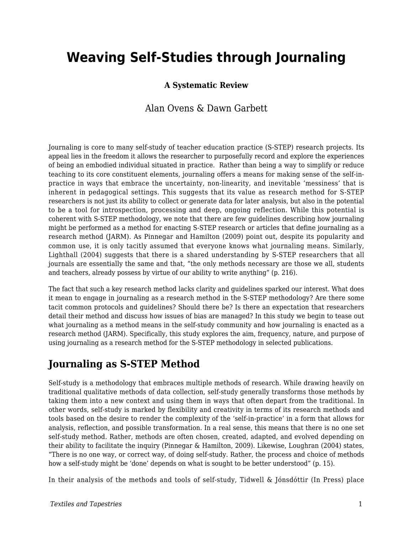# **Weaving Self-Studies through Journaling**

#### **A Systematic Review**

### Alan Ovens & Dawn Garbett

Journaling is core to many self-study of teacher education practice (S-STEP) research projects. Its appeal lies in the freedom it allows the researcher to purposefully record and explore the experiences of being an embodied individual situated in practice. Rather than being a way to simplify or reduce teaching to its core constituent elements, journaling offers a means for making sense of the self-inpractice in ways that embrace the uncertainty, non-linearity, and inevitable 'messiness' that is inherent in pedagogical settings. This suggests that its value as research method for S-STEP researchers is not just its ability to collect or generate data for later analysis, but also in the potential to be a tool for introspection, processing and deep, ongoing reflection. While this potential is coherent with S-STEP methodology, we note that there are few guidelines describing how journaling might be performed as a method for enacting S-STEP research or articles that define journaling as a research method (JARM). As Pinnegar and Hamilton (2009) point out, despite its popularity and common use, it is only tacitly assumed that everyone knows what journaling means. Similarly, Lighthall (2004) suggests that there is a shared understanding by S-STEP researchers that all journals are essentially the same and that, "the only methods necessary are those we all, students and teachers, already possess by virtue of our ability to write anything" (p. 216).

The fact that such a key research method lacks clarity and guidelines sparked our interest. What does it mean to engage in journaling as a research method in the S-STEP methodology? Are there some tacit common protocols and guidelines? Should there be? Is there an expectation that researchers detail their method and discuss how issues of bias are managed? In this study we begin to tease out what journaling as a method means in the self-study community and how journaling is enacted as a research method (JARM). Specifically, this study explores the aim, frequency, nature, and purpose of using journaling as a research method for the S-STEP methodology in selected publications.

## **Journaling as S-STEP Method**

Self-study is a methodology that embraces multiple methods of research. While drawing heavily on traditional qualitative methods of data collection, self-study generally transforms those methods by taking them into a new context and using them in ways that often depart from the traditional. In other words, self-study is marked by flexibility and creativity in terms of its research methods and tools based on the desire to render the complexity of the 'self-in-practice' in a form that allows for analysis, reflection, and possible transformation. In a real sense, this means that there is no one set self-study method. Rather, methods are often chosen, created, adapted, and evolved depending on their ability to facilitate the inquiry (Pinnegar & Hamilton, 2009). Likewise, Loughran (2004) states, "There is no one way, or correct way, of doing self-study. Rather, the process and choice of methods how a self-study might be 'done' depends on what is sought to be better understood" (p. 15).

In their analysis of the methods and tools of self-study, Tidwell & Jónsdóttir (In Press) place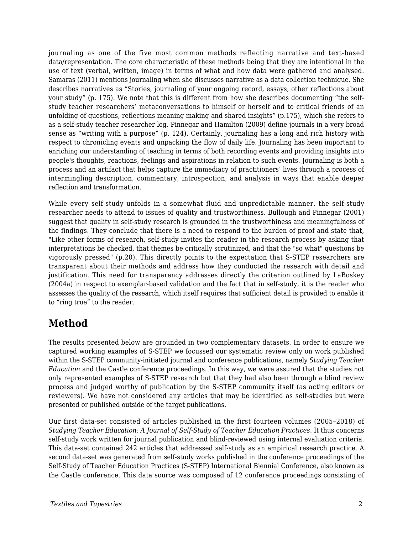journaling as one of the five most common methods reflecting narrative and text-based data/representation. The core characteristic of these methods being that they are intentional in the use of text (verbal, written, image) in terms of what and how data were gathered and analysed. Samaras (2011) mentions journaling when she discusses narrative as a data collection technique. She describes narratives as "Stories, journaling of your ongoing record, essays, other reflections about your study" (p. 175). We note that this is different from how she describes documenting "the selfstudy teacher researchers' metaconversations to himself or herself and to critical friends of an unfolding of questions, reflections meaning making and shared insights" (p.175), which she refers to as a self-study teacher researcher log. Pinnegar and Hamilton (2009) define journals in a very broad sense as "writing with a purpose" (p. 124). Certainly, journaling has a long and rich history with respect to chronicling events and unpacking the flow of daily life. Journaling has been important to enriching our understanding of teaching in terms of both recording events and providing insights into people's thoughts, reactions, feelings and aspirations in relation to such events. Journaling is both a process and an artifact that helps capture the immediacy of practitioners' lives through a process of intermingling description, commentary, introspection, and analysis in ways that enable deeper reflection and transformation.

While every self-study unfolds in a somewhat fluid and unpredictable manner, the self-study researcher needs to attend to issues of quality and trustworthiness. Bullough and Pinnegar (2001) suggest that quality in self-study research is grounded in the trustworthiness and meaningfulness of the findings. They conclude that there is a need to respond to the burden of proof and state that, "Like other forms of research, self-study invites the reader in the research process by asking that interpretations be checked, that themes be critically scrutinized, and that the "so what" questions be vigorously pressed" (p.20). This directly points to the expectation that S-STEP researchers are transparent about their methods and address how they conducted the research with detail and justification. This need for transparency addresses directly the criterion outlined by LaBoskey (2004a) in respect to exemplar-based validation and the fact that in self-study, it is the reader who assesses the quality of the research, which itself requires that sufficient detail is provided to enable it to "ring true" to the reader.

# **Method**

The results presented below are grounded in two complementary datasets. In order to ensure we captured working examples of S-STEP we focussed our systematic review only on work published within the S-STEP community-initiated journal and conference publications, namely *Studying Teacher Education* and the Castle conference proceedings. In this way, we were assured that the studies not only represented examples of S-STEP research but that they had also been through a blind review process and judged worthy of publication by the S-STEP community itself (as acting editors or reviewers). We have not considered any articles that may be identified as self-studies but were presented or published outside of the target publications.

Our first data-set consisted of articles published in the first fourteen volumes (2005–2018) of *Studying Teacher Education: A Journal of Self-Study of Teacher Education Practices*. It thus concerns self-study work written for journal publication and blind-reviewed using internal evaluation criteria. This data-set contained 242 articles that addressed self-study as an empirical research practice. A second data-set was generated from self-study works published in the conference proceedings of the Self-Study of Teacher Education Practices (S-STEP) International Biennial Conference, also known as the Castle conference. This data source was composed of 12 conference proceedings consisting of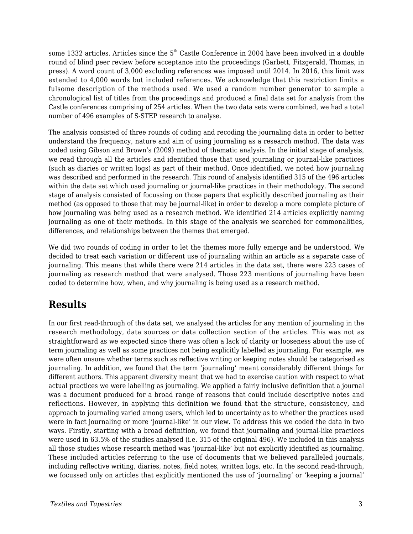some 1332 articles. Articles since the 5<sup>th</sup> Castle Conference in 2004 have been involved in a double round of blind peer review before acceptance into the proceedings (Garbett, Fitzgerald, Thomas, in press). A word count of 3,000 excluding references was imposed until 2014. In 2016, this limit was extended to 4,000 words but included references. We acknowledge that this restriction limits a fulsome description of the methods used. We used a random number generator to sample a chronological list of titles from the proceedings and produced a final data set for analysis from the Castle conferences comprising of 254 articles. When the two data sets were combined, we had a total number of 496 examples of S-STEP research to analyse.

The analysis consisted of three rounds of coding and recoding the journaling data in order to better understand the frequency, nature and aim of using journaling as a research method. The data was coded using Gibson and Brown's (2009) method of thematic analysis. In the initial stage of analysis, we read through all the articles and identified those that used journaling or journal-like practices (such as diaries or written logs) as part of their method. Once identified, we noted how journaling was described and performed in the research. This round of analysis identified 315 of the 496 articles within the data set which used journaling or journal-like practices in their methodology. The second stage of analysis consisted of focussing on those papers that explicitly described journaling as their method (as opposed to those that may be journal-like) in order to develop a more complete picture of how journaling was being used as a research method. We identified 214 articles explicitly naming journaling as one of their methods. In this stage of the analysis we searched for commonalities, differences, and relationships between the themes that emerged.

We did two rounds of coding in order to let the themes more fully emerge and be understood. We decided to treat each variation or different use of journaling within an article as a separate case of journaling. This means that while there were 214 articles in the data set, there were 223 cases of journaling as research method that were analysed. Those 223 mentions of journaling have been coded to determine how, when, and why journaling is being used as a research method.

# **Results**

In our first read-through of the data set, we analysed the articles for any mention of journaling in the research methodology, data sources or data collection section of the articles. This was not as straightforward as we expected since there was often a lack of clarity or looseness about the use of term journaling as well as some practices not being explicitly labelled as journaling. For example, we were often unsure whether terms such as reflective writing or keeping notes should be categorised as journaling. In addition, we found that the term 'journaling' meant considerably different things for different authors. This apparent diversity meant that we had to exercise caution with respect to what actual practices we were labelling as journaling. We applied a fairly inclusive definition that a journal was a document produced for a broad range of reasons that could include descriptive notes and reflections. However, in applying this definition we found that the structure, consistency, and approach to journaling varied among users, which led to uncertainty as to whether the practices used were in fact journaling or more 'journal-like' in our view. To address this we coded the data in two ways. Firstly, starting with a broad definition, we found that journaling and journal-like practices were used in 63.5% of the studies analysed (i.e. 315 of the original 496). We included in this analysis all those studies whose research method was 'journal-like' but not explicitly identified as journaling. These included articles referring to the use of documents that we believed paralleled journals, including reflective writing, diaries, notes, field notes, written logs, etc. In the second read-through, we focussed only on articles that explicitly mentioned the use of 'journaling' or 'keeping a journal'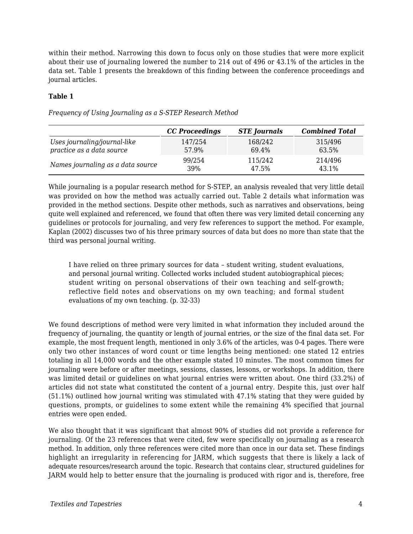within their method. Narrowing this down to focus only on those studies that were more explicit about their use of journaling lowered the number to 214 out of 496 or 43.1% of the articles in the data set. Table 1 presents the breakdown of this finding between the conference proceedings and journal articles.

#### **Table 1**

*Frequency of Using Journaling as a S-STEP Research Method*

|                                   | CC Proceedings | <b>STE</b> Journals | <b>Combined Total</b> |
|-----------------------------------|----------------|---------------------|-----------------------|
| Uses journaling/journal-like      | 147/254        | 168/242             | 315/496               |
| practice as a data source         | 57.9%          | 69.4%               | 63.5%                 |
| Names journaling as a data source | 99/254         | 115/242             | 214/496               |
|                                   | 39%            | 47.5%               | 43.1%                 |

While journaling is a popular research method for S-STEP, an analysis revealed that very little detail was provided on how the method was actually carried out. Table 2 details what information was provided in the method sections. Despite other methods, such as narratives and observations, being quite well explained and referenced, we found that often there was very limited detail concerning any guidelines or protocols for journaling, and very few references to support the method. For example, Kaplan (2002) discusses two of his three primary sources of data but does no more than state that the third was personal journal writing.

I have relied on three primary sources for data – student writing, student evaluations, and personal journal writing. Collected works included student autobiographical pieces; student writing on personal observations of their own teaching and self-growth; reflective field notes and observations on my own teaching; and formal student evaluations of my own teaching. (p. 32-33)

We found descriptions of method were very limited in what information they included around the frequency of journaling, the quantity or length of journal entries, or the size of the final data set. For example, the most frequent length, mentioned in only 3.6% of the articles, was 0-4 pages. There were only two other instances of word count or time lengths being mentioned: one stated 12 entries totaling in all 14,000 words and the other example stated 10 minutes. The most common times for journaling were before or after meetings, sessions, classes, lessons, or workshops. In addition, there was limited detail or guidelines on what journal entries were written about. One third (33.2%) of articles did not state what constituted the content of a journal entry. Despite this, just over half (51.1%) outlined how journal writing was stimulated with 47.1% stating that they were guided by questions, prompts, or guidelines to some extent while the remaining 4% specified that journal entries were open ended.

We also thought that it was significant that almost 90% of studies did not provide a reference for journaling. Of the 23 references that were cited, few were specifically on journaling as a research method. In addition, only three references were cited more than once in our data set. These findings highlight an irregularity in referencing for JARM, which suggests that there is likely a lack of adequate resources/research around the topic. Research that contains clear, structured guidelines for JARM would help to better ensure that the journaling is produced with rigor and is, therefore, free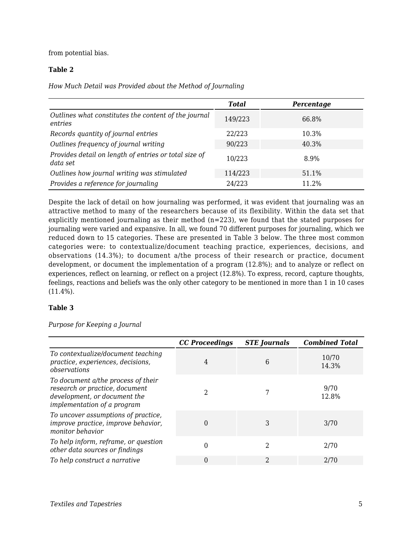from potential bias.

#### **Table 2**

*How Much Detail was Provided about the Method of Journaling*

|                                                                   | <b>Total</b> | Percentage |
|-------------------------------------------------------------------|--------------|------------|
| Outlines what constitutes the content of the journal<br>entries   | 149/223      | 66.8%      |
| Records quantity of journal entries                               | 22/223       | 10.3%      |
| Outlines frequency of journal writing                             | 90/223       | 40.3%      |
| Provides detail on length of entries or total size of<br>data set | 10/223       | 8.9%       |
| Outlines how journal writing was stimulated                       | 114/223      | 51.1%      |
| Provides a reference for journaling                               | 24/223       | 11.2%      |

Despite the lack of detail on how journaling was performed, it was evident that journaling was an attractive method to many of the researchers because of its flexibility. Within the data set that explicitly mentioned journaling as their method (n=223), we found that the stated purposes for journaling were varied and expansive. In all, we found 70 different purposes for journaling, which we reduced down to 15 categories. These are presented in Table 3 below. The three most common categories were: to contextualize/document teaching practice, experiences, decisions, and observations (14.3%); to document a/the process of their research or practice, document development, or document the implementation of a program (12.8%); and to analyze or reflect on experiences, reflect on learning, or reflect on a project (12.8%). To express, record, capture thoughts, feelings, reactions and beliefs was the only other category to be mentioned in more than 1 in 10 cases (11.4%).

#### **Table 3**

*Purpose for Keeping a Journal*

|                                                                                                                                     | <b>CC</b> Proceedings | <b>STE</b> Journals | <b>Combined Total</b> |
|-------------------------------------------------------------------------------------------------------------------------------------|-----------------------|---------------------|-----------------------|
| To contextualize/document teaching<br>practice, experiences, decisions,<br>observations                                             | 4                     | 6                   | 10/70<br>14.3%        |
| To document a/the process of their<br>research or practice, document<br>development, or document the<br>implementation of a program | າ                     |                     | 9/70<br>12.8%         |
| To uncover assumptions of practice,<br>improve practice, improve behavior,<br>monitor behavior                                      | 0                     | 3                   | 3/70                  |
| To help inform, reframe, or question<br>other data sources or findings                                                              | 0                     | 2                   | 2/70                  |
| To help construct a narrative                                                                                                       | 0                     | 2                   | 2/70                  |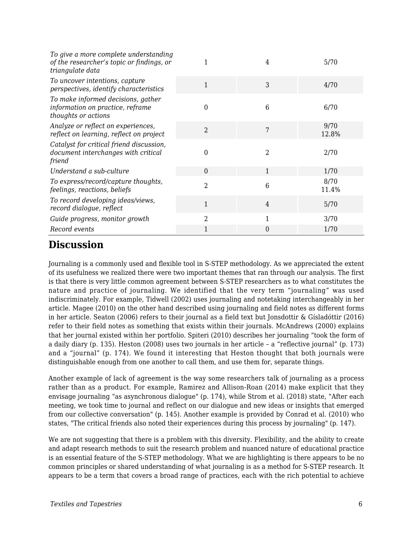| To give a more complete understanding<br>of the researcher's topic or findings, or<br>triangulate data |                | 4 | 5/70          |
|--------------------------------------------------------------------------------------------------------|----------------|---|---------------|
| To uncover intentions, capture<br>perspectives, identify characteristics                               | 1              | 3 | 4/70          |
| To make informed decisions, gather<br>information on practice, reframe<br>thoughts or actions          | 0              | 6 | 6/70          |
| Analyze or reflect on experiences,<br>reflect on learning, reflect on project                          | $\overline{2}$ | 7 | 9/70<br>12.8% |
| Catalyst for critical friend discussion,<br>document interchanges with critical<br>friend              | 0              | 2 | 2/70          |
| Understand a sub-culture                                                                               | $\theta$       | 1 | 1/70          |
| To express/record/capture thoughts,<br>feelings, reactions, beliefs                                    | $\overline{2}$ | 6 | 8/70<br>11.4% |
| To record developing ideas/views,<br>record dialogue, reflect                                          | 1              | 4 | 5/70          |
| Guide progress, monitor growth                                                                         | $\overline{2}$ | 1 | 3/70          |
| Record events                                                                                          | 1              | 0 | 1/70          |

### **Discussion**

Journaling is a commonly used and flexible tool in S-STEP methodology. As we appreciated the extent of its usefulness we realized there were two important themes that ran through our analysis. The first is that there is very little common agreement between S-STEP researchers as to what constitutes the nature and practice of journaling. We identified that the very term "journaling" was used indiscriminately. For example, Tidwell (2002) uses journaling and notetaking interchangeably in her article. Magee (2010) on the other hand described using journaling and field notes as different forms in her article. Seaton (2006) refers to their journal as a field text but Jonsdottir & Gísladóttir (2016) refer to their field notes as something that exists within their journals. McAndrews (2000) explains that her journal existed within her portfolio. Spiteri (2010) describes her journaling "took the form of a daily diary (p. 135). Heston (2008) uses two journals in her article – a "reflective journal" (p. 173) and a "journal" (p. 174). We found it interesting that Heston thought that both journals were distinguishable enough from one another to call them, and use them for, separate things.

Another example of lack of agreement is the way some researchers talk of journaling as a process rather than as a product. For example, Ramirez and Allison-Roan (2014) make explicit that they envisage journaling "as asynchronous dialogue" (p. 174), while Strom et al. (2018) state, "After each meeting, we took time to journal and reflect on our dialogue and new ideas or insights that emerged from our collective conversation" (p. 145). Another example is provided by Conrad et al. (2010) who states, "The critical friends also noted their experiences during this process by journaling" (p. 147).

We are not suggesting that there is a problem with this diversity. Flexibility, and the ability to create and adapt research methods to suit the research problem and nuanced nature of educational practice is an essential feature of the S-STEP methodology. What we are highlighting is there appears to be no common principles or shared understanding of what journaling is as a method for S-STEP research. It appears to be a term that covers a broad range of practices, each with the rich potential to achieve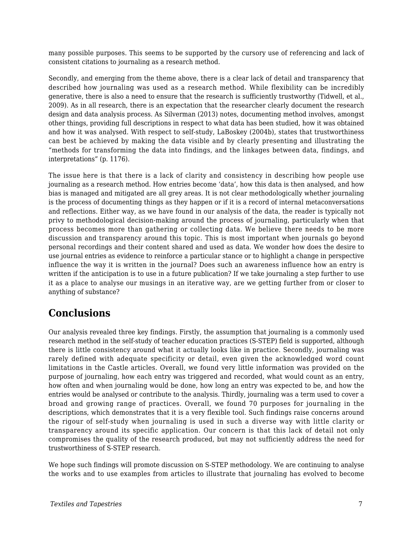many possible purposes. This seems to be supported by the cursory use of referencing and lack of consistent citations to journaling as a research method.

Secondly, and emerging from the theme above, there is a clear lack of detail and transparency that described how journaling was used as a research method. While flexibility can be incredibly generative, there is also a need to ensure that the research is sufficiently trustworthy (Tidwell, et al., 2009). As in all research, there is an expectation that the researcher clearly document the research design and data analysis process. As Silverman (2013) notes, documenting method involves, amongst other things, providing full descriptions in respect to what data has been studied, how it was obtained and how it was analysed. With respect to self-study, LaBoskey (2004b), states that trustworthiness can best be achieved by making the data visible and by clearly presenting and illustrating the "methods for transforming the data into findings, and the linkages between data, findings, and interpretations" (p. 1176).

The issue here is that there is a lack of clarity and consistency in describing how people use journaling as a research method. How entries become 'data', how this data is then analysed, and how bias is managed and mitigated are all grey areas. It is not clear methodologically whether journaling is the process of documenting things as they happen or if it is a record of internal metaconversations and reflections. Either way, as we have found in our analysis of the data, the reader is typically not privy to methodological decision-making around the process of journaling, particularly when that process becomes more than gathering or collecting data. We believe there needs to be more discussion and transparency around this topic. This is most important when journals go beyond personal recordings and their content shared and used as data. We wonder how does the desire to use journal entries as evidence to reinforce a particular stance or to highlight a change in perspective influence the way it is written in the journal? Does such an awareness influence how an entry is written if the anticipation is to use in a future publication? If we take journaling a step further to use it as a place to analyse our musings in an iterative way, are we getting further from or closer to anything of substance?

### **Conclusions**

Our analysis revealed three key findings. Firstly, the assumption that journaling is a commonly used research method in the self-study of teacher education practices (S-STEP) field is supported, although there is little consistency around what it actually looks like in practice. Secondly, journaling was rarely defined with adequate specificity or detail, even given the acknowledged word count limitations in the Castle articles. Overall, we found very little information was provided on the purpose of journaling, how each entry was triggered and recorded, what would count as an entry, how often and when journaling would be done, how long an entry was expected to be, and how the entries would be analysed or contribute to the analysis. Thirdly, journaling was a term used to cover a broad and growing range of practices. Overall, we found 70 purposes for journaling in the descriptions, which demonstrates that it is a very flexible tool. Such findings raise concerns around the rigour of self-study when journaling is used in such a diverse way with little clarity or transparency around its specific application. Our concern is that this lack of detail not only compromises the quality of the research produced, but may not sufficiently address the need for trustworthiness of S-STEP research.

We hope such findings will promote discussion on S-STEP methodology. We are continuing to analyse the works and to use examples from articles to illustrate that journaling has evolved to become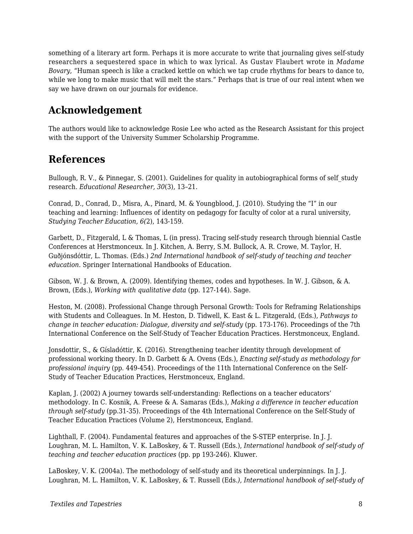something of a literary art form. Perhaps it is more accurate to write that journaling gives self-study researchers a sequestered space in which to wax lyrical. As Gustav Flaubert wrote in *Madame Bovary*, "Human speech is like a cracked kettle on which we tap crude rhythms for bears to dance to, while we long to make music that will melt the stars." Perhaps that is true of our real intent when we say we have drawn on our journals for evidence.

# **Acknowledgement**

The authors would like to acknowledge Rosie Lee who acted as the Research Assistant for this project with the support of the University Summer Scholarship Programme.

### **References**

Bullough, R. V., & Pinnegar, S. (2001). Guidelines for quality in autobiographical forms of self-study research. *Educational Researcher, 30*(3), 13–21.

Conrad, D., Conrad, D., Misra, A., Pinard, M. & Youngblood, J. (2010). Studying the "I" in our teaching and learning: Influences of identity on pedagogy for faculty of color at a rural university, *Studying Teacher Education, 6(*2), 143-159.

Garbett, D., Fitzgerald, L & Thomas, L (in press). Tracing self-study research through biennial Castle Conferences at Herstmonceux. In J. Kitchen, A. Berry, S.M. Bullock, A. R. Crowe, M. Taylor, H. Guðjónsdóttir, L. Thomas. (Eds.) *2nd International handbook of self-study of teaching and teacher education.* Springer International Handbooks of Education.

Gibson, W. J. & Brown, A. (2009). Identifying themes, codes and hypotheses. In W. J. Gibson, & A. Brown, (Eds.), *Working with qualitative data* (pp. 127-144). Sage.

Heston, M. (2008). Professional Change through Personal Growth: Tools for Reframing Relationships with Students and Colleagues. In M. Heston, D. Tidwell, K. East & L. Fitzgerald, (Eds.), *Pathways to change in teacher education: Dialogue, diversity and self-study* (pp. 173-176). Proceedings of the 7th International Conference on the Self-Study of Teacher Education Practices. Herstmonceux, England.

Jonsdottir, S., & Gísladóttir, K. (2016). Strengthening teacher identity through development of professional working theory. In D. Garbett & A. Ovens (Eds.), *Enacting self-study as methodology for professional inquiry* (pp. 449-454). Proceedings of the 11th International Conference on the Self-Study of Teacher Education Practices, Herstmonceux, England.

Kaplan, J. (2002) A journey towards self-understanding: Reflections on a teacher educators' methodology. In C. Kosnik, A. Freese & A. Samaras (Eds.), *Making a difference in teacher education through self-study* (pp.31-35). Proceedings of the 4th International Conference on the Self-Study of Teacher Education Practices (Volume 2), Herstmonceux, England.

Lighthall, F. (2004). Fundamental features and approaches of the S-STEP enterprise. In J. J. Loughran, M. L. Hamilton, V. K. LaBoskey, & T. Russell (Eds.), *International handbook of self-study of teaching and teacher education practices* (pp. pp 193-246). Kluwer.

LaBoskey, V. K. (2004a). The methodology of self-study and its theoretical underpinnings. In J. J. Loughran, M. L. Hamilton, V. K. LaBoskey, & T. Russell (Eds*.), International handbook of self-study of*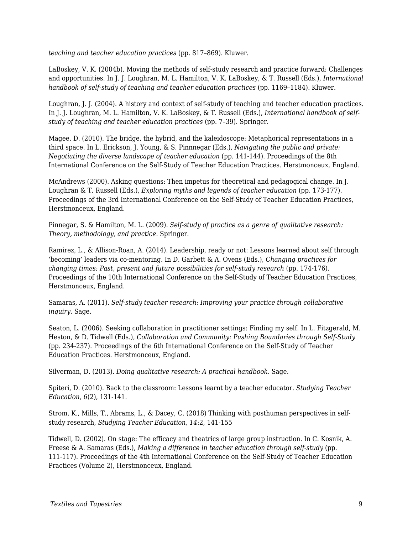*teaching and teacher education practices* (pp. 817–869). Kluwer.

LaBoskey, V. K. (2004b). Moving the methods of self-study research and practice forward: Challenges and opportunities. In J. J. Loughran, M. L. Hamilton, V. K. LaBoskey, & T. Russell (Eds.), *International handbook of self-study of teaching and teacher education practices* (pp. 1169–1184). Kluwer.

Loughran, J. J. (2004). A history and context of self-study of teaching and teacher education practices. In J. J. Loughran, M. L. Hamilton, V. K. LaBoskey, & T. Russell (Eds.), *International handbook of selfstudy of teaching and teacher education practices* (pp. 7–39). Springer.

Magee, D. (2010). The bridge, the hybrid, and the kaleidoscope: Metaphorical representations in a third space. In L. Erickson, J. Young, & S. Pinnnegar (Eds.), *Navigating the public and private: Negotiating the diverse landscape of teacher education* (pp. 141-144). Proceedings of the 8th International Conference on the Self-Study of Teacher Education Practices. Herstmonceux, England.

McAndrews (2000). Asking questions: Then impetus for theoretical and pedagogical change. In J. Loughran & T. Russell (Eds.), *Exploring myths and legends of teacher education* (pp. 173-177). Proceedings of the 3rd International Conference on the Self-Study of Teacher Education Practices, Herstmonceux, England.

Pinnegar, S. & Hamilton, M. L. (2009). *Self-study of practice as a genre of qualitative research: Theory, methodology, and practice.* Springer.

Ramirez, L., & Allison-Roan, A. (2014). Leadership, ready or not: Lessons learned about self through 'becoming' leaders via co-mentoring. In D. Garbett & A. Ovens (Eds.), *Changing practices for changing times: Past, present and future possibilities for self-study research* (pp. 174-176). Proceedings of the 10th International Conference on the Self-Study of Teacher Education Practices, Herstmonceux, England.

Samaras, A. (2011). *Self-study teacher research: Improving your practice through collaborative inquiry*. Sage.

Seaton, L. (2006). Seeking collaboration in practitioner settings: Finding my self. In L. Fitzgerald, M. Heston, & D. Tidwell (Eds.), *Collaboration and Community: Pushing Boundaries through Self-Study* (pp. 234-237). Proceedings of the 6th International Conference on the Self-Study of Teacher Education Practices. Herstmonceux, England.

Silverman, D. (2013). *Doing qualitative research: A practical handbook*. Sage.

Spiteri, D. (2010). Back to the classroom: Lessons learnt by a teacher educator. *Studying Teacher Education, 6*(2), 131-141.

Strom, K., Mills, T., Abrams, L., & Dacey, C. (2018) Thinking with posthuman perspectives in selfstudy research, *Studying Teacher Education, 14*:2, 141-155

Tidwell, D. (2002). On stage: The efficacy and theatrics of large group instruction. In C. Kosnik, A. Freese & A. Samaras (Eds.), *Making a difference in teacher education through self-study* (pp. 111-117). Proceedings of the 4th International Conference on the Self-Study of Teacher Education Practices (Volume 2), Herstmonceux, England.